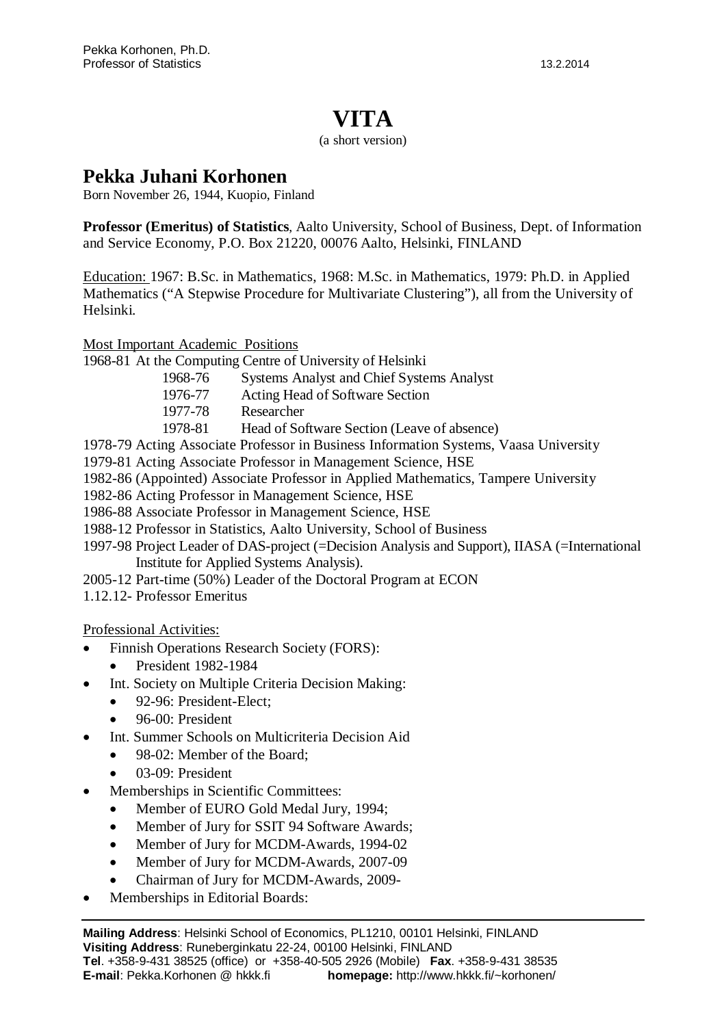## **VITA**

#### (a short version)

### **Pekka Juhani Korhonen**

Born November 26, 1944, Kuopio, Finland

**Professor (Emeritus) of Statistics**, Aalto University, School of Business, Dept. of Information and Service Economy, P.O. Box 21220, 00076 Aalto, Helsinki, FINLAND

Education: 1967: B.Sc. in Mathematics, 1968: M.Sc. in Mathematics, 1979: Ph.D. in Applied Mathematics ("A Stepwise Procedure for Multivariate Clustering"), all from the University of Helsinki.

Most Important Academic Positions

- 1968-81 At the Computing Centre of University of Helsinki
	- 1968-76 Systems Analyst and Chief Systems Analyst
		- 1976-77 Acting Head of Software Section
		- 1977-78 Researcher
		- 1978-81 Head of Software Section (Leave of absence)
- 1978-79 Acting Associate Professor in Business Information Systems, Vaasa University
- 1979-81 Acting Associate Professor in Management Science, HSE
- 1982-86 (Appointed) Associate Professor in Applied Mathematics, Tampere University
- 1982-86 Acting Professor in Management Science, HSE
- 1986-88 Associate Professor in Management Science, HSE
- 1988-12 Professor in Statistics, Aalto University, School of Business
- 1997-98 Project Leader of DAS-project (=Decision Analysis and Support), IIASA (=International Institute for Applied Systems Analysis).
- 2005-12 Part-time (50%) Leader of the Doctoral Program at ECON
- 1.12.12- Professor Emeritus

Professional Activities:

- Finnish Operations Research Society (FORS):
	- x President 1982-1984
- Int. Society on Multiple Criteria Decision Making:
	- $\bullet$  92-96: President-Elect:
	- $\bullet$  96-00: President
- Int. Summer Schools on Multicriteria Decision Aid
	- 98-02: Member of the Board:
	- $\bullet$  03-09: President
- Memberships in Scientific Committees:
	- Member of EURO Gold Medal Jury, 1994;
	- Member of Jury for SSIT 94 Software Awards;
	- Member of Jury for MCDM-Awards, 1994-02
	- Member of Jury for MCDM-Awards, 2007-09
	- x Chairman of Jury for MCDM-Awards, 2009-
- Memberships in Editorial Boards: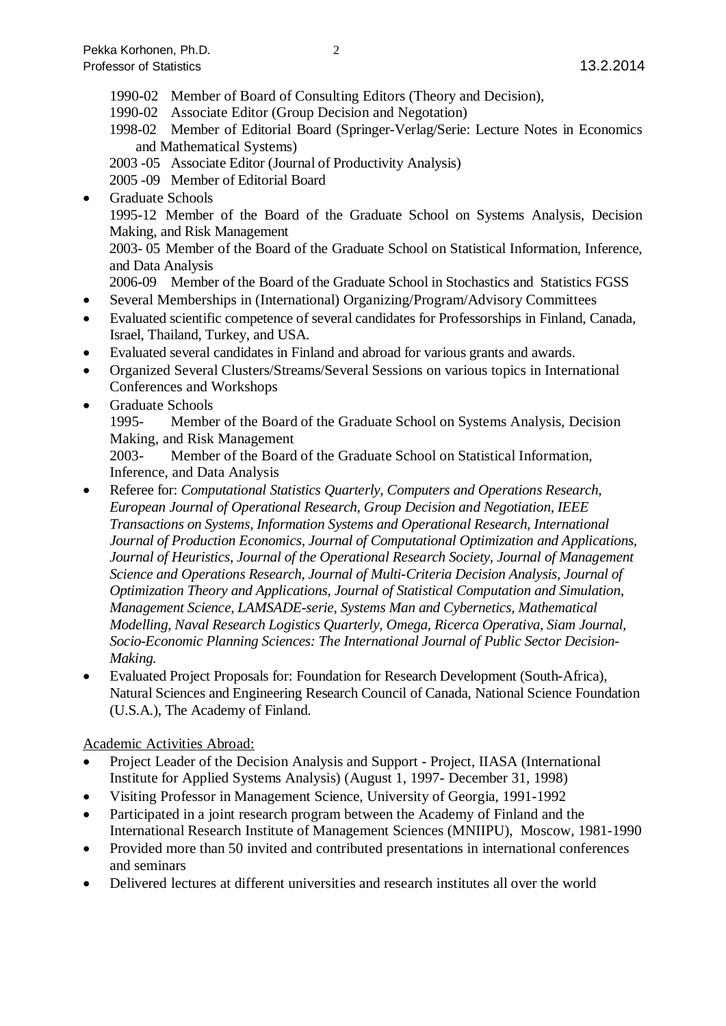- 1990-02 Member of Board of Consulting Editors (Theory and Decision),
- 1990-02 Associate Editor (Group Decision and Negotation)
- 1998-02 Member of Editorial Board (Springer-Verlag/Serie: Lecture Notes in Economics and Mathematical Systems)
- 2003 -05 Associate Editor (Journal of Productivity Analysis)

2005 -09 Member of Editorial Board

Graduate Schools 1995-12 Member of the Board of the Graduate School on Systems Analysis, Decision Making, and Risk Management 2003- 05 Member of the Board of the Graduate School on Statistical Information, Inference, and Data Analysis

2006-09 Member of the Board of the Graduate School in Stochastics and Statistics FGSS

- x Several Memberships in (International) Organizing/Program/Advisory Committees
- Evaluated scientific competence of several candidates for Professorships in Finland, Canada, Israel, Thailand, Turkey, and USA.
- Evaluated several candidates in Finland and abroad for various grants and awards.
- x Organized Several Clusters/Streams/Several Sessions on various topics in International Conferences and Workshops
- Graduate Schools

1995- Member of the Board of the Graduate School on Systems Analysis, Decision Making, and Risk Management

2003- Member of the Board of the Graduate School on Statistical Information, Inference, and Data Analysis

- x Referee for: *Computational Statistics Quarterly, Computers and Operations Research, European Journal of Operational Research, Group Decision and Negotiation, IEEE Transactions on Systems, Information Systems and Operational Research, International Journal of Production Economics, Journal of Computational Optimization and Applications, Journal of Heuristics, Journal of the Operational Research Society, Journal of Management Science and Operations Research, Journal of Multi-Criteria Decision Analysis, Journal of Optimization Theory and Applications, Journal of Statistical Computation and Simulation, Management Science, LAMSADE-serie, Systems Man and Cybernetics, Mathematical Modelling, Naval Research Logistics Quarterly, Omega, Ricerca Operativa, Siam Journal, Socio-Economic Planning Sciences: The International Journal of Public Sector Decision-Making.*
- Evaluated Project Proposals for: Foundation for Research Development (South-Africa), Natural Sciences and Engineering Research Council of Canada, National Science Foundation (U.S.A.), The Academy of Finland.

### Academic Activities Abroad:

- Project Leader of the Decision Analysis and Support Project, IIASA (International Institute for Applied Systems Analysis) (August 1, 1997- December 31, 1998)
- x Visiting Professor in Management Science, University of Georgia, 1991-1992
- Participated in a joint research program between the Academy of Finland and the International Research Institute of Management Sciences (MNIIPU), Moscow, 1981-1990
- Provided more than 50 invited and contributed presentations in international conferences and seminars
- Delivered lectures at different universities and research institutes all over the world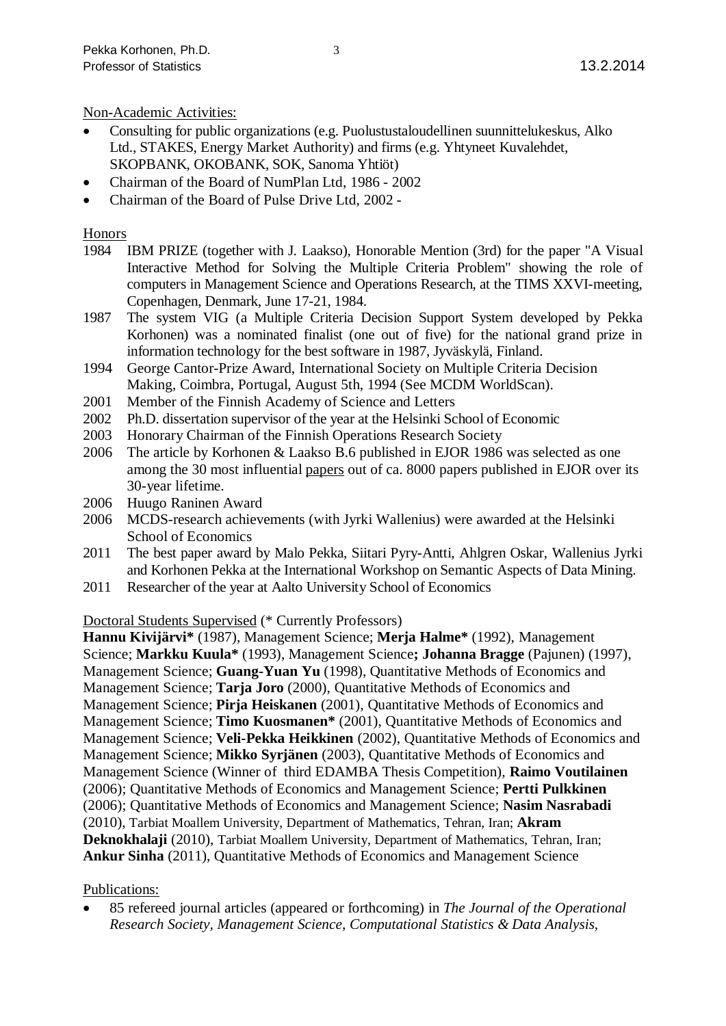#### Non-Academic Activities:

- x Consulting for public organizations (e.g. Puolustustaloudellinen suunnittelukeskus, Alko Ltd., STAKES, Energy Market Authority) and firms (e.g. Yhtyneet Kuvalehdet, SKOPBANK, OKOBANK, SOK, Sanoma Yhtiöt)
- x Chairman of the Board of NumPlan Ltd, 1986 2002
- x Chairman of the Board of Pulse Drive Ltd, 2002 -

#### Honors

- 1984 IBM PRIZE (together with J. Laakso), Honorable Mention (3rd) for the paper "A Visual Interactive Method for Solving the Multiple Criteria Problem" showing the role of computers in Management Science and Operations Research, at the TIMS XXVI-meeting, Copenhagen, Denmark, June 17-21, 1984.
- 1987 The system VIG (a Multiple Criteria Decision Support System developed by Pekka Korhonen) was a nominated finalist (one out of five) for the national grand prize in information technology for the best software in 1987, Jyväskylä, Finland.
- 1994 George Cantor-Prize Award, International Society on Multiple Criteria Decision Making, Coimbra, Portugal, August 5th, 1994 (See MCDM WorldScan).
- 2001 Member of the Finnish Academy of Science and Letters
- 2002 Ph.D. dissertation supervisor of the year at the Helsinki School of Economic
- 2003 Honorary Chairman of the Finnish Operations Research Society
- 2006 The article by Korhonen & Laakso B.6 published in EJOR 1986 was selected as one among the 30 most influential papers out of ca. 8000 papers published in EJOR over its 30-year lifetime.
- 2006 Huugo Raninen Award
- 2006 MCDS-research achievements (with Jyrki Wallenius) were awarded at the Helsinki School of Economics
- 2011 The best paper award by Malo Pekka, Siitari Pyry-Antti, Ahlgren Oskar, Wallenius Jyrki and Korhonen Pekka at the International Workshop on Semantic Aspects of Data Mining.
- 2011 Researcher of the year at Aalto University School of Economics

#### Doctoral Students Supervised (\* Currently Professors)

**Hannu Kivijärvi\*** (1987), Management Science; **Merja Halme\*** (1992), Management Science; **Markku Kuula\*** (1993), Management Science**; Johanna Bragge** (Pajunen) (1997), Management Science; **Guang-Yuan Yu** (1998), Quantitative Methods of Economics and Management Science; **Tarja Joro** (2000), Quantitative Methods of Economics and Management Science; **Pirja Heiskanen** (2001), Quantitative Methods of Economics and Management Science; **Timo Kuosmanen\*** (2001), Quantitative Methods of Economics and Management Science; **Veli-Pekka Heikkinen** (2002), Quantitative Methods of Economics and Management Science; **Mikko Syrjänen** (2003), Quantitative Methods of Economics and Management Science (Winner of third EDAMBA Thesis Competition), **Raimo Voutilainen** (2006); Quantitative Methods of Economics and Management Science; **Pertti Pulkkinen** (2006); Quantitative Methods of Economics and Management Science; **Nasim Nasrabadi** (2010), Tarbiat Moallem University, Department of Mathematics, Tehran, Iran; **Akram Deknokhalaji** (2010), Tarbiat Moallem University, Department of Mathematics, Tehran, Iran; **Ankur Sinha** (2011), Quantitative Methods of Economics and Management Science

#### Publications:

x 85 refereed journal articles (appeared or forthcoming) in *The Journal of the Operational Research Society, Management Science, Computational Statistics & Data Analysis,*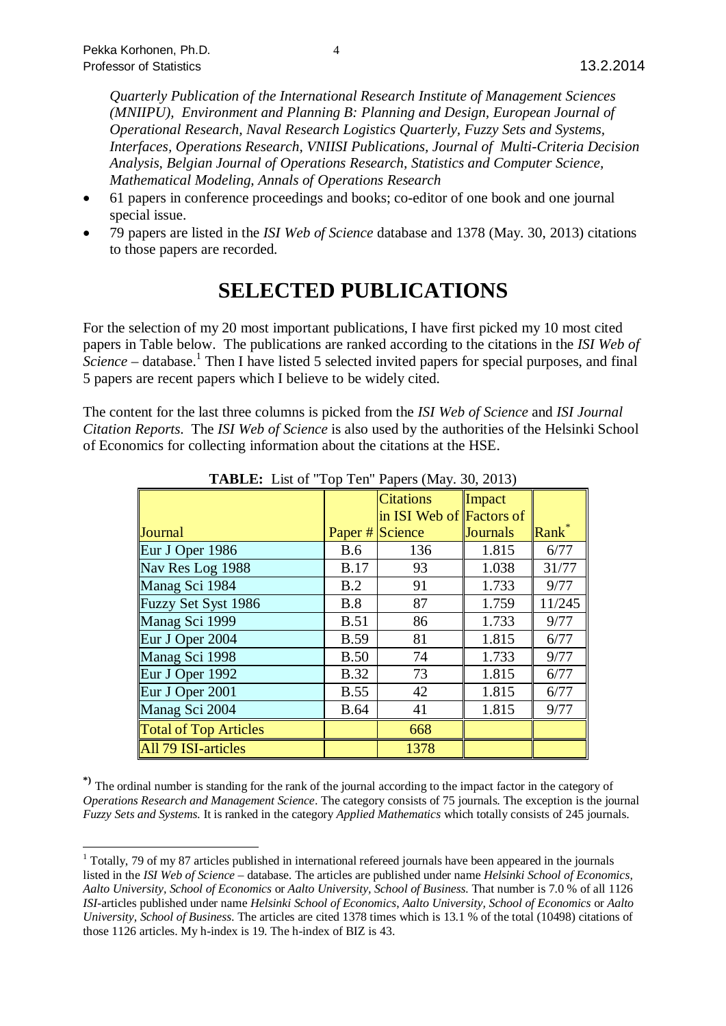*Quarterly Publication of the International Research Institute of Management Sciences (MNIIPU), Environment and Planning B: Planning and Design, European Journal of Operational Research, Naval Research Logistics Quarterly, Fuzzy Sets and Systems, Interfaces, Operations Research, VNIISI Publications, Journal of Multi-Criteria Decision Analysis, Belgian Journal of Operations Research, Statistics and Computer Science, Mathematical Modeling, Annals of Operations Research*

- x 61 papers in conference proceedings and books; co-editor of one book and one journal special issue.
- x 79 papers are listed in the *ISI Web of Science* database and 1378 (May. 30, 2013) citations to those papers are recorded.

# **SELECTED PUBLICATIONS**

For the selection of my 20 most important publications, I have first picked my 10 most cited papers in Table below. The publications are ranked according to the citations in the *ISI Web of* Science – database.<sup>[1](#page-3-0)</sup> Then I have listed 5 selected invited papers for special purposes, and final 5 papers are recent papers which I believe to be widely cited.

The content for the last three columns is picked from the *ISI Web of Science* and *ISI Journal Citation Reports*. The *ISI Web of Science* is also used by the authorities of the Helsinki School of Economics for collecting information about the citations at the HSE.

| <b>TADLE:</b> List 01 TOP TCH TapCIS (1914). 50, 2015) |             |                                              |                 |        |
|--------------------------------------------------------|-------------|----------------------------------------------|-----------------|--------|
|                                                        |             | <b>Citations</b><br>in ISI Web of Factors of | Impact          |        |
| Journal                                                |             | Paper # Science                              | <b>Journals</b> | Rank   |
| Eur J Oper 1986                                        | B.6         | 136                                          | 1.815           | 6/77   |
| Nav Res Log 1988                                       | <b>B.17</b> | 93                                           | 1.038           | 31/77  |
| Manag Sci 1984                                         | B.2         | 91                                           | 1.733           | 9/77   |
| Fuzzy Set Syst 1986                                    | B.8         | 87                                           | 1.759           | 11/245 |
| Manag Sci 1999                                         | <b>B.51</b> | 86                                           | 1.733           | 9/77   |
| Eur J Oper 2004                                        | <b>B.59</b> | 81                                           | 1.815           | 6/77   |
| Manag Sci 1998                                         | <b>B.50</b> | 74                                           | 1.733           | 9/77   |
| Eur J Oper 1992                                        | <b>B.32</b> | 73                                           | 1.815           | 6/77   |
| Eur J Oper 2001                                        | <b>B.55</b> | 42                                           | 1.815           | 6/77   |
| Manag Sci 2004                                         | <b>B.64</b> | 41                                           | 1.815           | 9/77   |
| <b>Total of Top Articles</b>                           |             | 668                                          |                 |        |
| All 79 ISI-articles                                    |             | 1378                                         |                 |        |

**TABLE:** List of "Top Ten" Papers (May. 30, 2013)

**\*)** The ordinal number is standing for the rank of the journal according to the impact factor in the category of *Operations Research and Management Science*. The category consists of 75 journals. The exception is the journal *Fuzzy Sets and Systems*. It is ranked in the category *Applied Mathematics* which totally consists of 245 journals.

<span id="page-3-0"></span><sup>&</sup>lt;sup>1</sup> Totally, 79 of my 87 articles published in international refereed journals have been appeared in the journals listed in the *ISI Web of Science* – database. The articles are published under name *Helsinki School of Economics, Aalto University, School of Economics* or *Aalto University, School of Business.* That number is 7.0 % of all 1126 *ISI*-articles published under name *Helsinki School of Economics*, *Aalto University, School of Economics* or *Aalto University, School of Business*. The articles are cited 1378 times which is 13.1 % of the total (10498) citations of those 1126 articles. My h-index is 19. The h-index of BIZ is 43.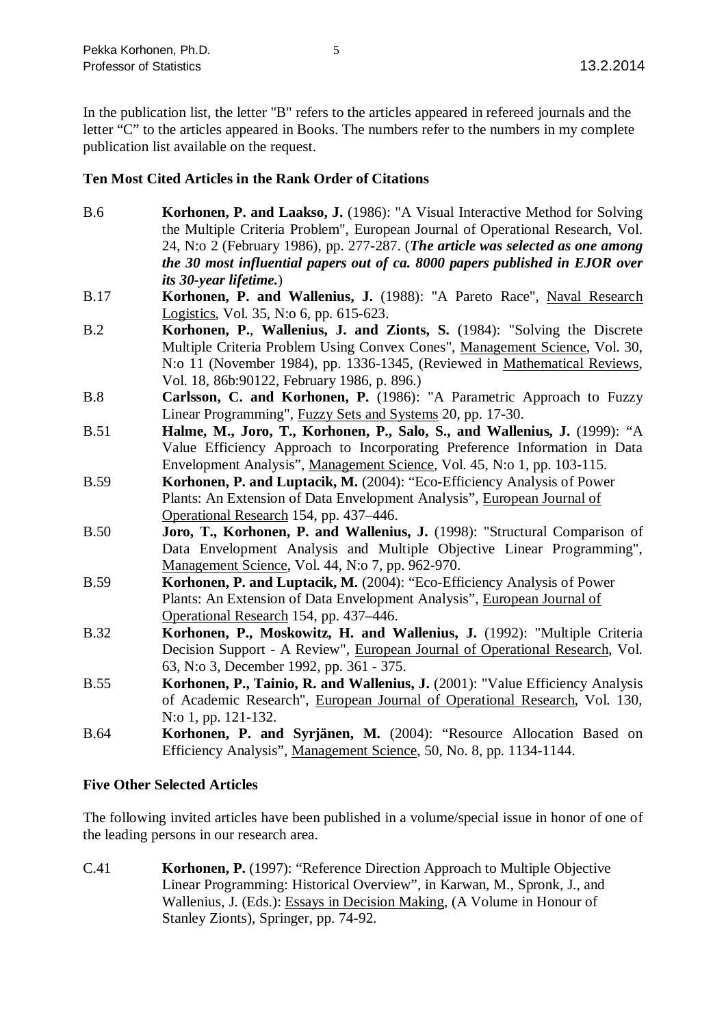In the publication list, the letter "B" refers to the articles appeared in refereed journals and the letter "C" to the articles appeared in Books. The numbers refer to the numbers in my complete publication list available on the request.

#### **Ten Most Cited Articles in the Rank Order of Citations**

- B.6 **Korhonen, P. and Laakso, J.** (1986): "A Visual Interactive Method for Solving the Multiple Criteria Problem", European Journal of Operational Research, Vol. 24, N:o 2 (February 1986), pp. 277-287. (*The article was selected as one among the 30 most influential papers out of ca. 8000 papers published in EJOR over its 30-year lifetime.*)
- B.17 **Korhonen, P. and Wallenius, J.** (1988): "A Pareto Race", Naval Research Logistics, Vol. 35, N:o 6, pp. 615-623.
- B.2 **Korhonen, P.**, **Wallenius, J. and Zionts, S.** (1984): "Solving the Discrete Multiple Criteria Problem Using Convex Cones", Management Science, Vol. 30, N:o 11 (November 1984), pp. 1336-1345, (Reviewed in Mathematical Reviews, Vol. 18, 86b:90122, February 1986, p. 896.)
- B.8 **Carlsson, C. and Korhonen, P.** (1986): "A Parametric Approach to Fuzzy Linear Programming", Fuzzy Sets and Systems 20, pp. 17-30.
- B.51 **Halme, M., Joro, T., Korhonen, P., Salo, S., and Wallenius, J.** (1999): "A Value Efficiency Approach to Incorporating Preference Information in Data Envelopment Analysis", Management Science, Vol. 45, N:o 1, pp. 103-115.
- B.59 **Korhonen, P. and Luptacik, M.** (2004): "Eco-Efficiency Analysis of Power Plants: An Extension of Data Envelopment Analysis", European Journal of Operational Research 154, pp. 437–446.
- B.50 **Joro, T., Korhonen, P. and Wallenius, J.** (1998): "Structural Comparison of Data Envelopment Analysis and Multiple Objective Linear Programming", Management Science, Vol. 44, N:o 7, pp. 962-970.
- B.59 **Korhonen, P. and Luptacik, M.** (2004): "Eco-Efficiency Analysis of Power Plants: An Extension of Data Envelopment Analysis", European Journal of Operational Research 154, pp. 437–446.
- B.32 **Korhonen, P., Moskowitz, H. and Wallenius, J.** (1992): "Multiple Criteria Decision Support - A Review", European Journal of Operational Research, Vol. 63, N:o 3, December 1992, pp. 361 - 375.
- B.55 **Korhonen, P., Tainio, R. and Wallenius, J.** (2001): "Value Efficiency Analysis of Academic Research", European Journal of Operational Research, Vol. 130, N:o 1, pp. 121-132.
- B.64 **Korhonen, P. and Syrjänen, M.** (2004): "Resource Allocation Based on Efficiency Analysis", Management Science, 50, No. 8, pp. 1134-1144.

#### **Five Other Selected Articles**

The following invited articles have been published in a volume/special issue in honor of one of the leading persons in our research area.

C.41 **Korhonen, P.** (1997): "Reference Direction Approach to Multiple Objective Linear Programming: Historical Overview", in Karwan, M., Spronk, J., and Wallenius, J. (Eds.): Essays in Decision Making, (A Volume in Honour of Stanley Zionts), Springer, pp. 74-92.